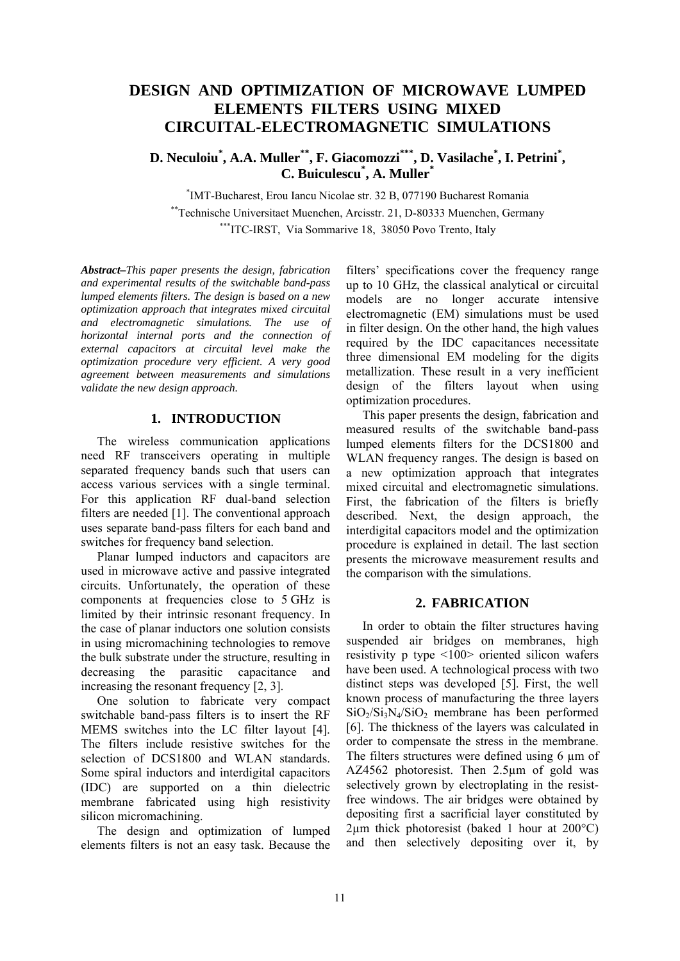# **DESIGN AND OPTIMIZATION OF MICROWAVE LUMPED ELEMENTS FILTERS USING MIXED CIRCUITAL-ELECTROMAGNETIC SIMULATIONS**

**D. Neculoiu\* , A.A. Muller\*\*, F. Giacomozzi\*\*\*, D. Vasilache\* , I. Petrini\* , C. Buiculescu\* , A. Muller\***

\* IMT-Bucharest, Erou Iancu Nicolae str. 32 B, 077190 Bucharest Romania \*\*Technische Universitaet Muenchen, Arcisstr. 21, D-80333 Muenchen, Germany \*\*\*ITC-IRST, Via Sommarive 18, 38050 Povo Trento, Italy

*Abstract–This paper presents the design, fabrication and experimental results of the switchable band-pass lumped elements filters. The design is based on a new optimization approach that integrates mixed circuital and electromagnetic simulations. The use of horizontal internal ports and the connection of external capacitors at circuital level make the optimization procedure very efficient. A very good agreement between measurements and simulations validate the new design approach.* 

# **1. INTRODUCTION**

The wireless communication applications need RF transceivers operating in multiple separated frequency bands such that users can access various services with a single terminal. For this application RF dual-band selection filters are needed [1]. The conventional approach uses separate band-pass filters for each band and switches for frequency band selection.

Planar lumped inductors and capacitors are used in microwave active and passive integrated circuits. Unfortunately, the operation of these components at frequencies close to 5 GHz is limited by their intrinsic resonant frequency. In the case of planar inductors one solution consists in using micromachining technologies to remove the bulk substrate under the structure, resulting in decreasing the parasitic capacitance and increasing the resonant frequency [2, 3].

One solution to fabricate very compact switchable band-pass filters is to insert the RF MEMS switches into the LC filter layout [4]. The filters include resistive switches for the selection of DCS1800 and WLAN standards. Some spiral inductors and interdigital capacitors (IDC) are supported on a thin dielectric membrane fabricated using high resistivity silicon micromachining.

The design and optimization of lumped elements filters is not an easy task. Because the filters' specifications cover the frequency range up to 10 GHz, the classical analytical or circuital models are no longer accurate intensive electromagnetic (EM) simulations must be used in filter design. On the other hand, the high values required by the IDC capacitances necessitate three dimensional EM modeling for the digits metallization. These result in a very inefficient design of the filters layout when using optimization procedures.

This paper presents the design, fabrication and measured results of the switchable band-pass lumped elements filters for the DCS1800 and WLAN frequency ranges. The design is based on a new optimization approach that integrates mixed circuital and electromagnetic simulations. First, the fabrication of the filters is briefly described. Next, the design approach, the interdigital capacitors model and the optimization procedure is explained in detail. The last section presents the microwave measurement results and the comparison with the simulations.

## **2. FABRICATION**

In order to obtain the filter structures having suspended air bridges on membranes, high resistivity p type <100> oriented silicon wafers have been used. A technological process with two distinct steps was developed [5]. First, the well known process of manufacturing the three layers  $SiO<sub>2</sub>/Si<sub>3</sub>N<sub>4</sub>/SiO<sub>2</sub>$  membrane has been performed [6]. The thickness of the layers was calculated in order to compensate the stress in the membrane. The filters structures were defined using 6 um of AZ4562 photoresist. Then 2.5µm of gold was selectively grown by electroplating in the resistfree windows. The air bridges were obtained by depositing first a sacrificial layer constituted by  $2\mu$ m thick photoresist (baked 1 hour at 200 $^{\circ}$ C) and then selectively depositing over it, by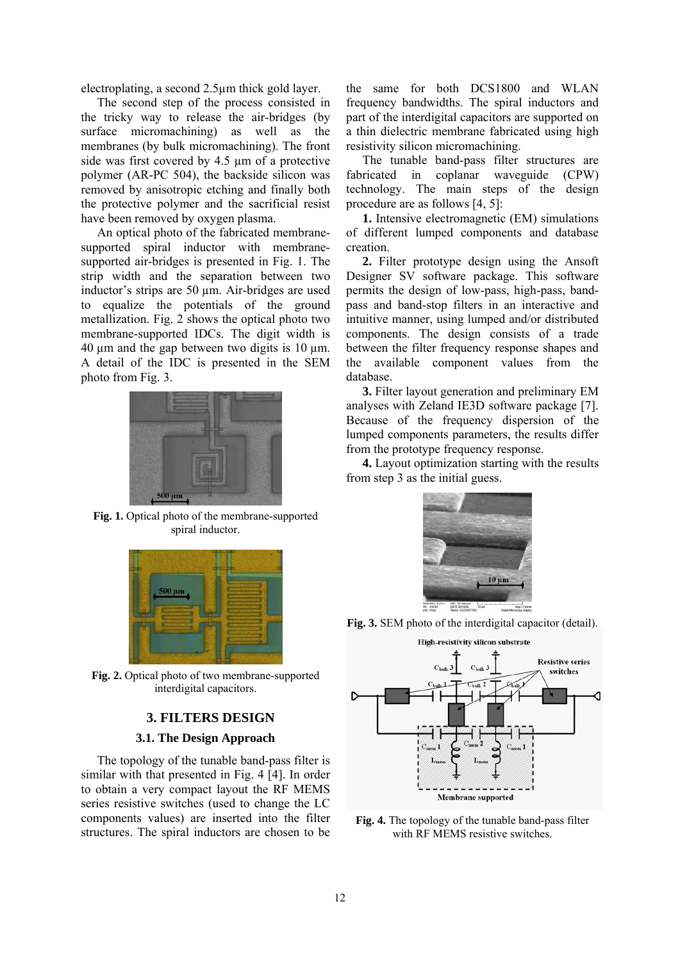electroplating, a second 2.5µm thick gold layer.

The second step of the process consisted in the tricky way to release the air-bridges (by surface micromachining) as well as the membranes (by bulk micromachining). The front side was first covered by 4.5 µm of a protective polymer (AR-PC 504), the backside silicon was removed by anisotropic etching and finally both the protective polymer and the sacrificial resist have been removed by oxygen plasma.

An optical photo of the fabricated membranesupported spiral inductor with membranesupported air-bridges is presented in Fig. 1. The strip width and the separation between two inductor's strips are 50 µm. Air-bridges are used to equalize the potentials of the ground metallization. Fig. 2 shows the optical photo two membrane-supported IDCs. The digit width is 40  $\mu$ m and the gap between two digits is 10  $\mu$ m. A detail of the IDC is presented in the SEM photo from Fig. 3.



**Fig. 1.** Optical photo of the membrane-supported spiral inductor.



**Fig. 2.** Optical photo of two membrane-supported interdigital capacitors.

## **3. FILTERS DESIGN**

#### **3.1. The Design Approach**

The topology of the tunable band-pass filter is similar with that presented in Fig. 4 [4]. In order to obtain a very compact layout the RF MEMS series resistive switches (used to change the LC components values) are inserted into the filter structures. The spiral inductors are chosen to be

the same for both DCS1800 and WLAN frequency bandwidths. The spiral inductors and part of the interdigital capacitors are supported on a thin dielectric membrane fabricated using high resistivity silicon micromachining.

The tunable band-pass filter structures are fabricated in coplanar waveguide (CPW) technology. The main steps of the design procedure are as follows [4, 5]:

**1.** Intensive electromagnetic (EM) simulations of different lumped components and database creation.

**2.** Filter prototype design using the Ansoft Designer SV software package. This software permits the design of low-pass, high-pass, bandpass and band-stop filters in an interactive and intuitive manner, using lumped and/or distributed components. The design consists of a trade between the filter frequency response shapes and the available component values from the database.

**3.** Filter layout generation and preliminary EM analyses with Zeland IE3D software package [7]. Because of the frequency dispersion of the lumped components parameters, the results differ from the prototype frequency response.

**4.** Layout optimization starting with the results from step 3 as the initial guess.



**Fig. 3.** SEM photo of the interdigital capacitor (detail).



**Fig. 4.** The topology of the tunable band-pass filter with RF MEMS resistive switches.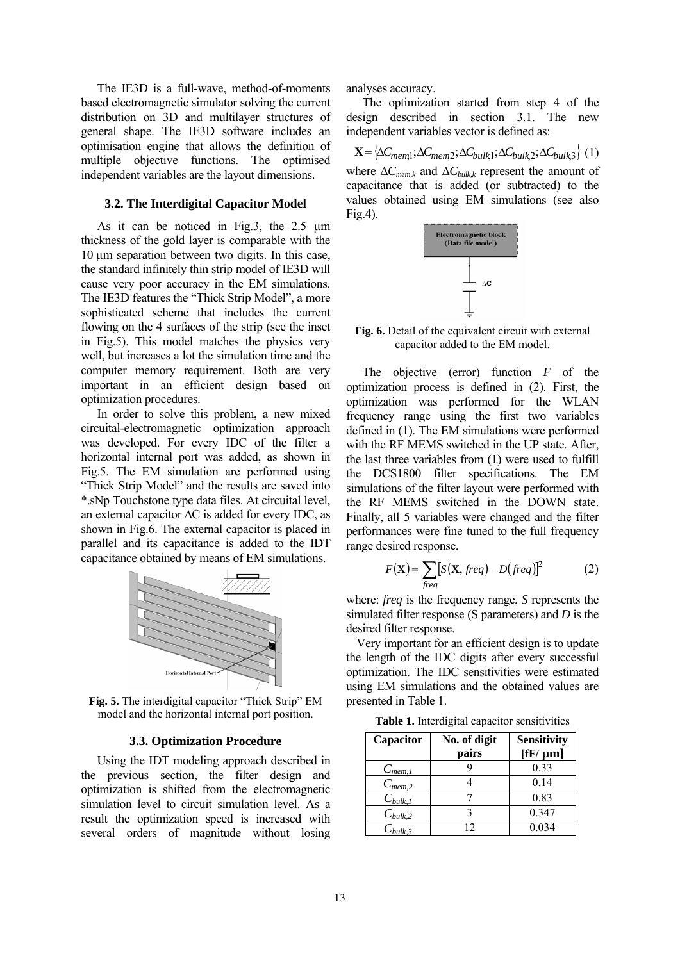The IE3D is a full-wave, method-of-moments based electromagnetic simulator solving the current distribution on 3D and multilayer structures of general shape. The IE3D software includes an optimisation engine that allows the definition of multiple objective functions. The optimised independent variables are the layout dimensions.

#### **3.2. The Interdigital Capacitor Model**

As it can be noticed in Fig.3, the 2.5 µm thickness of the gold layer is comparable with the 10 µm separation between two digits. In this case, the standard infinitely thin strip model of IE3D will cause very poor accuracy in the EM simulations. The IE3D features the "Thick Strip Model", a more sophisticated scheme that includes the current flowing on the 4 surfaces of the strip (see the inset in Fig.5). This model matches the physics very well, but increases a lot the simulation time and the computer memory requirement. Both are very important in an efficient design based on optimization procedures.

In order to solve this problem, a new mixed circuital-electromagnetic optimization approach was developed. For every IDC of the filter a horizontal internal port was added, as shown in Fig.5. The EM simulation are performed using "Thick Strip Model" and the results are saved into \*.sNp Touchstone type data files. At circuital level, an external capacitor ∆C is added for every IDC, as shown in Fig.6. The external capacitor is placed in parallel and its capacitance is added to the IDT capacitance obtained by means of EM simulations.



**Fig. 5.** The interdigital capacitor "Thick Strip" EM model and the horizontal internal port position.

#### **3.3. Optimization Procedure**

Using the IDT modeling approach described in the previous section, the filter design and optimization is shifted from the electromagnetic simulation level to circuit simulation level. As a result the optimization speed is increased with several orders of magnitude without losing analyses accuracy.

The optimization started from step 4 of the design described in section 3.1. The new independent variables vector is defined as:

 $\mathbf{X} = \left\{\Delta C_{mem1}; \Delta C_{mem2}; \Delta C_{bulk1}; \Delta C_{bulk2}; \Delta C_{bulk3} \right\}$  (1) where  $\Delta C_{\text{memk}}$  and  $\Delta C_{\text{bulkk}}$  represent the amount of capacitance that is added (or subtracted) to the values obtained using EM simulations (see also Fig.4).



**Fig. 6.** Detail of the equivalent circuit with external capacitor added to the EM model.

The objective (error) function *F* of the optimization process is defined in (2). First, the optimization was performed for the WLAN frequency range using the first two variables defined in (1). The EM simulations were performed with the RF MEMS switched in the UP state. After, the last three variables from (1) were used to fulfill the DCS1800 filter specifications. The EM simulations of the filter layout were performed with the RF MEMS switched in the DOWN state. Finally, all 5 variables were changed and the filter performances were fine tuned to the full frequency range desired response.

$$
F(\mathbf{X}) = \sum_{freq} [S(\mathbf{X}, freq) - Dfreq)]^2
$$
 (2)

where: *freq* is the frequency range, *S* represents the simulated filter response (S parameters) and *D* is the desired filter response.

Very important for an efficient design is to update the length of the IDC digits after every successful optimization. The IDC sensitivities were estimated using EM simulations and the obtained values are presented in Table 1.

**Table 1.** Interdigital capacitor sensitivities

| Capacitor               | No. of digit | <b>Sensitivity</b>        |
|-------------------------|--------------|---------------------------|
|                         | pairs        | $[{\rm fF}/{\mu}{\rm m}]$ |
| $C_{\underline{mem,1}}$ |              | 0.33                      |
| $C_{\mathit{mem},2}$    |              | 0.14                      |
| $C_{\text{bulk},1}$     |              | 0.83                      |
| $C_{bulk,2}$            |              | 0.347                     |
| $C_{bulk,3}$            | 12.          | 0.034                     |